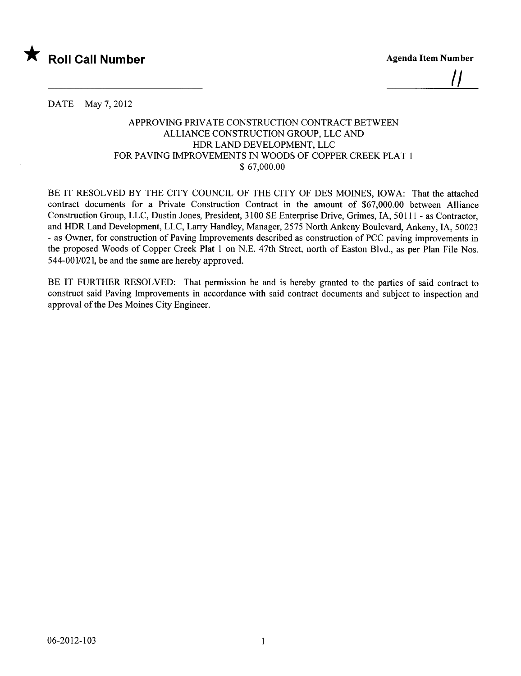

<u>||</u>

DATE May 7, 2012

## APPROVING PRIVATE CONSTRUCTION CONTRACT BETWEEN ALLIANCE CONSTRUCTION GROUP, LLC AND HDR LAND DEVELOPMENT, LLC FOR PAVING IMPROVEMENTS IN WOODS OF COPPER CREEK PLAT 1 \$ 67,000.00

BE IT RESOLVED BY THE CITY COUNCIL OF THE CITY OF DES MOINES, IOWA: That the attached contract documents for a Private Construction Contract in the amount of \$67,000.00 between Allance Construction Group, LLC, Dustin Jones, President, 3100 SE Enterprise Drive, Grimes, lA, 50111 - as Contractor, and HDR Land Development, LLC, Larry Handley, Manager, 2575 North Ankeny Boulevard, Ankeny, IA, 50023 - as Owner, for construction of Paving Improvements described as construction of PCC paving improvements in the proposed Woods of Copper Creek Plat 1 on N.E. 47th Street, north of Easton Blvd., as per Plan File Nos. 544-001/021, be and the same are hereby approved.

BE IT FURTHER RESOLVED: That permission be and is hereby granted to the parties of said contract to construct said Paving Improvements in accordance with said contract documents and subject to inspection and approval of the Des Moines City Engineer.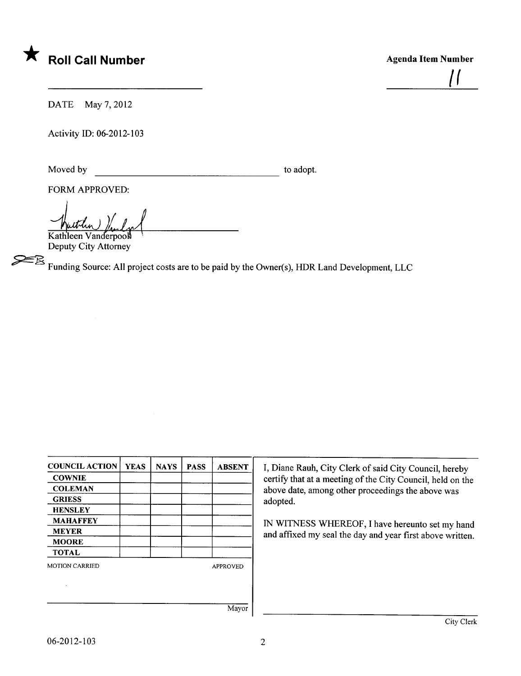

 $\mathbf{I}$ 

DATE May 7, 2012

Activity ID: 06-2012-103

Moved by to adopt.

FORM APPROVED:

Kathleen Vanderpool Deputy City Attorney

~ Funding Source: All project costs are to be paid by the Owner(s), HDR Land Development, LLC

| <b>COUNCIL ACTION</b> | <b>YEAS</b> | <b>NAYS</b> | <b>PASS</b> | <b>ABSENT</b>   |
|-----------------------|-------------|-------------|-------------|-----------------|
| <b>COWNIE</b>         |             |             |             |                 |
| <b>COLEMAN</b>        |             |             |             |                 |
| <b>GRIESS</b>         |             |             |             |                 |
| <b>HENSLEY</b>        |             |             |             |                 |
| <b>MAHAFFEY</b>       |             |             |             |                 |
| <b>MEYER</b>          |             |             |             |                 |
| <b>MOORE</b>          |             |             |             |                 |
| <b>TOTAL</b>          |             |             |             |                 |
| <b>MOTION CARRIED</b> |             |             |             | <b>APPROVED</b> |
|                       |             |             |             |                 |
|                       |             |             |             |                 |
|                       |             |             |             |                 |
|                       |             |             |             | Mayor           |

I, Diane Rauh, City Clerk of said City Council, hereby certify that at a meeting of the City Council, held on the above date, among other proceedings the above was adopted.

IN WITNESS WHEREOF, I have hereunto set my hand and affixed my seal the day and year first above written.